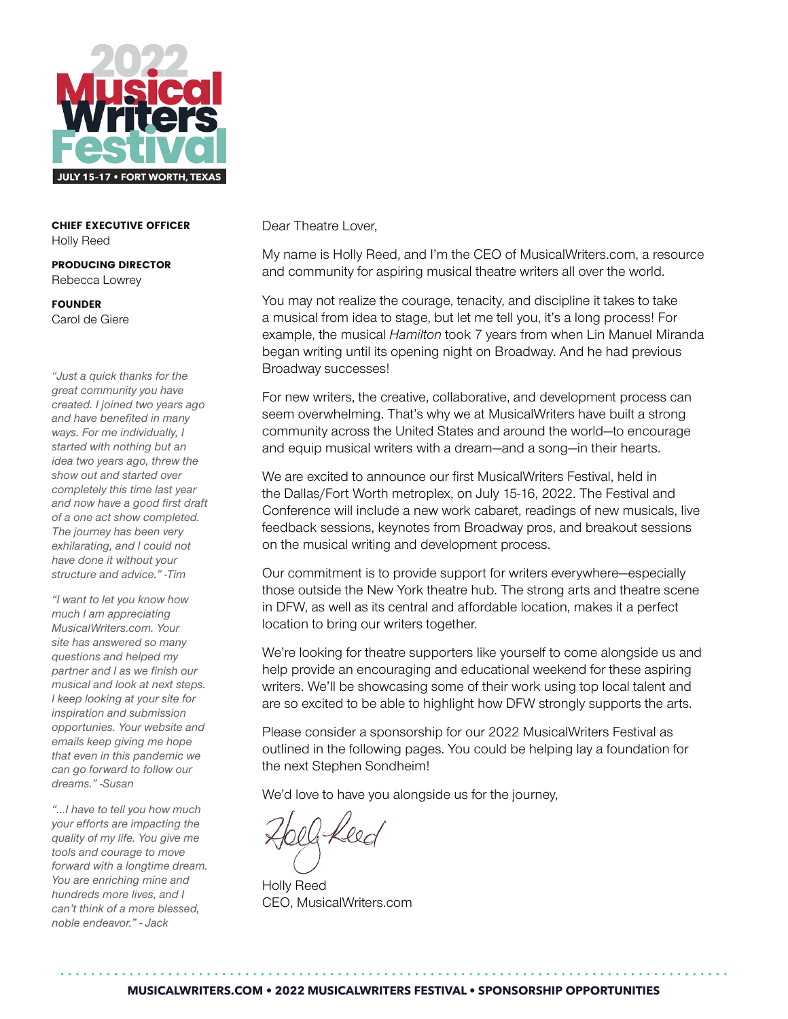

CHIEF EXECUTIVE OFFICER Holly Reed

PRODUCING DIRECTOR Rebecca Lowrey

FOUNDER Carol de Giere

*"Just a quick thanks for the great community you have created. I joined two years ago and have benefited in many ways. For me individually, I started with nothing but an idea two years ago, threw the show out and started over completely this time last year and now have a good first draft of a one act show completed. The journey has been very exhilarating, and I could not have done it without your structure and advice." -Tim*

*"I want to let you know how much I am appreciating MusicalWriters.com. Your site has answered so many questions and helped my partner and I as we finish our musical and look at next steps. I keep looking at your site for inspiration and submission opportunies. Your website and emails keep giving me hope that even in this pandemic we can go forward to follow our dreams." -Susan*

*"...I have to tell you how much your efforts are impacting the quality of my life. You give me tools and courage to move forward with a longtime dream. You are enriching mine and hundreds more lives, and I can't think of a more blessed, noble endeavor." - Jack*

Dear Theatre Lover,

My name is Holly Reed, and I'm the CEO of MusicalWriters.com, a resource and community for aspiring musical theatre writers all over the world.

You may not realize the courage, tenacity, and discipline it takes to take a musical from idea to stage, but let me tell you, it's a long process! For example, the musical *Hamilton* took 7 years from when Lin Manuel Miranda began writing until its opening night on Broadway. And he had previous Broadway successes!

For new writers, the creative, collaborative, and development process can seem overwhelming. That's why we at MusicalWriters have built a strong community across the United States and around the world—to encourage and equip musical writers with a dream—and a song—in their hearts.

We are excited to announce our first MusicalWriters Festival, held in the Dallas/Fort Worth metroplex, on July 15-16, 2022. The Festival and Conference will include a new work cabaret, readings of new musicals, live feedback sessions, keynotes from Broadway pros, and breakout sessions on the musical writing and development process.

Our commitment is to provide support for writers everywhere—especially those outside the New York theatre hub. The strong arts and theatre scene in DFW, as well as its central and affordable location, makes it a perfect location to bring our writers together.

We're looking for theatre supporters like yourself to come alongside us and help provide an encouraging and educational weekend for these aspiring writers. We'll be showcasing some of their work using top local talent and are so excited to be able to highlight how DFW strongly supports the arts.

Please consider a sponsorship for our 2022 MusicalWriters Festival as outlined in the following pages. You could be helping lay a foundation for the next Stephen Sondheim!

We'd love to have you alongside us for the journey,

Holly Reed CEO, MusicalWriters.com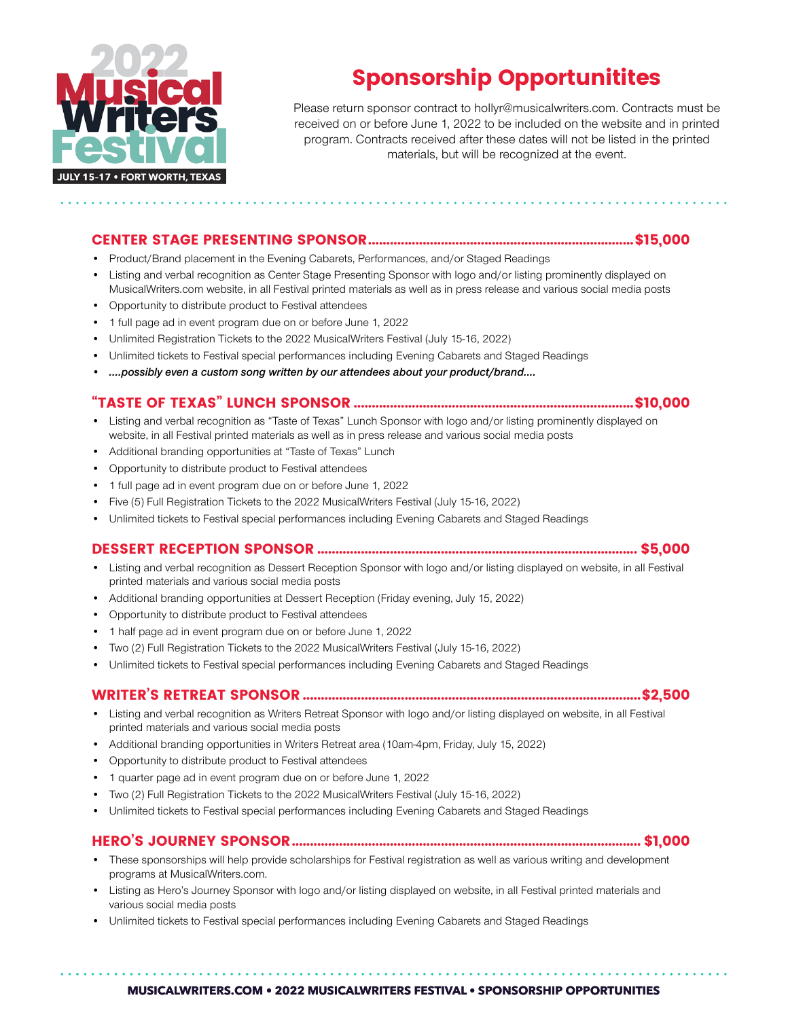

# Sponsorship Opportunitites

Please return sponsor contract to hollyr@musicalwriters.com. Contracts must be received on or before June 1, 2022 to be included on the website and in printed program. Contracts received after these dates will not be listed in the printed materials, but will be recognized at the event.

#### CENTER STAGE PRESENTING SPONSOR.........................................................................\$15,000

- Product/Brand placement in the Evening Cabarets, Performances, and/or Staged Readings
- Listing and verbal recognition as Center Stage Presenting Sponsor with logo and/or listing prominently displayed on MusicalWriters.com website, in all Festival printed materials as well as in press release and various social media posts
- Opportunity to distribute product to Festival attendees
- 1 full page ad in event program due on or before June 1, 2022
- Unlimited Registration Tickets to the 2022 MusicalWriters Festival (July 15-16, 2022)
- Unlimited tickets to Festival special performances including Evening Cabarets and Staged Readings
- *• ....possibly even a custom song written by our attendees about your product/brand....*

## "TASTE OF TEXAS" LUNCH SPONSOR .............................................................................\$10,000

- Listing and verbal recognition as "Taste of Texas" Lunch Sponsor with logo and/or listing prominently displayed on website, in all Festival printed materials as well as in press release and various social media posts
- Additional branding opportunities at "Taste of Texas" Lunch
- Opportunity to distribute product to Festival attendees
- 1 full page ad in event program due on or before June 1, 2022
- Five (5) Full Registration Tickets to the 2022 MusicalWriters Festival (July 15-16, 2022)
- Unlimited tickets to Festival special performances including Evening Cabarets and Staged Readings

#### DESSERT RECEPTION SPONSOR ........................................................................................ \$5,000

- Listing and verbal recognition as Dessert Reception Sponsor with logo and/or listing displayed on website, in all Festival printed materials and various social media posts
- Additional branding opportunities at Dessert Reception (Friday evening, July 15, 2022)
- Opportunity to distribute product to Festival attendees
- 1 half page ad in event program due on or before June 1, 2022
- Two (2) Full Registration Tickets to the 2022 MusicalWriters Festival (July 15-16, 2022)
- Unlimited tickets to Festival special performances including Evening Cabarets and Staged Readings

## WRITER'S RETREAT SPONSOR .............................................................................................\$2,500

- Listing and verbal recognition as Writers Retreat Sponsor with logo and/or listing displayed on website, in all Festival printed materials and various social media posts
- Additional branding opportunities in Writers Retreat area (10am-4pm, Friday, July 15, 2022)
- Opportunity to distribute product to Festival attendees
- 1 quarter page ad in event program due on or before June 1, 2022
- Two (2) Full Registration Tickets to the 2022 MusicalWriters Festival (July 15-16, 2022)
- Unlimited tickets to Festival special performances including Evening Cabarets and Staged Readings

## HERO'S JOURNEY SPONSOR................................................................................................ \$1,000

- These sponsorships will help provide scholarships for Festival registration as well as various writing and development programs at MusicalWriters.com.
- Listing as Hero's Journey Sponsor with logo and/or listing displayed on website, in all Festival printed materials and various social media posts
- Unlimited tickets to Festival special performances including Evening Cabarets and Staged Readings

#### **MUSICALWRITERS.COM • 2022 MUSICALWRITERS FESTIVAL • SPONSORSHIP OPPORTUNITIES**